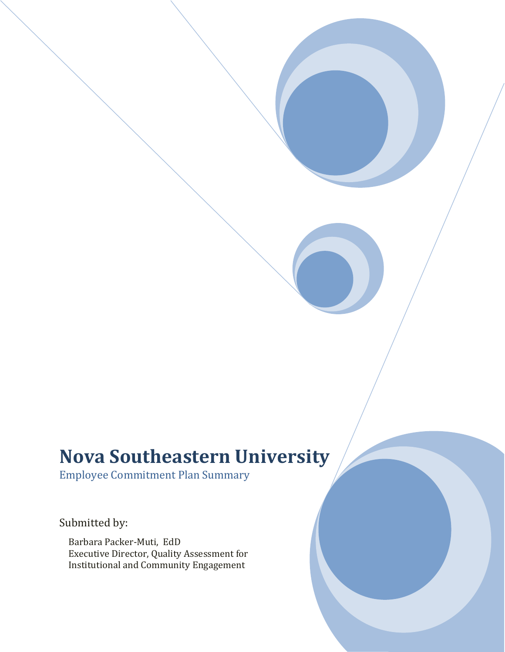## **Nova Southeastern University**

Employee Commitment Plan Summary

Submitted by:

Barbara Packer-Muti, EdD Executive Director, Quality Assessment for Institutional and Community Engagement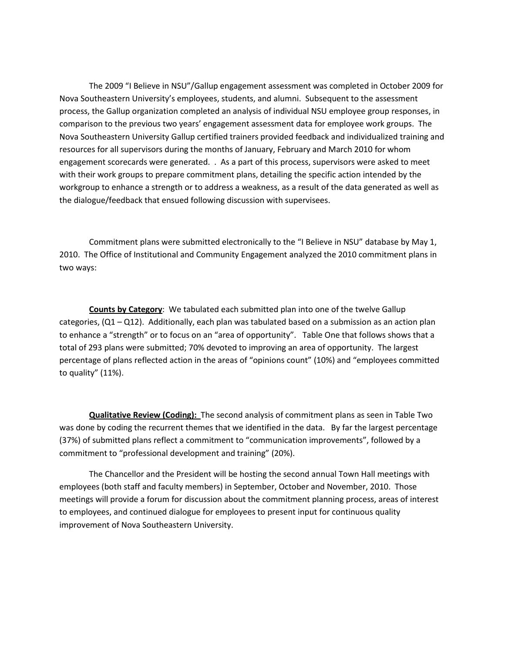The 2009 "I Believe in NSU"/Gallup engagement assessment was completed in October 2009 for Nova Southeastern University's employees, students, and alumni. Subsequent to the assessment process, the Gallup organization completed an analysis of individual NSU employee group responses, in comparison to the previous two years' engagement assessment data for employee work groups. The Nova Southeastern University Gallup certified trainers provided feedback and individualized training and resources for all supervisors during the months of January, February and March 2010 for whom engagement scorecards were generated. . As a part of this process, supervisors were asked to meet with their work groups to prepare commitment plans, detailing the specific action intended by the workgroup to enhance a strength or to address a weakness, as a result of the data generated as well as the dialogue/feedback that ensued following discussion with supervisees.

Commitment plans were submitted electronically to the "I Believe in NSU" database by May 1, 2010. The Office of Institutional and Community Engagement analyzed the 2010 commitment plans in two ways:

**Counts by Category**: We tabulated each submitted plan into one of the twelve Gallup categories,  $(Q1 - Q12)$ . Additionally, each plan was tabulated based on a submission as an action plan to enhance a "strength" or to focus on an "area of opportunity". Table One that follows shows that a total of 293 plans were submitted; 70% devoted to improving an area of opportunity. The largest percentage of plans reflected action in the areas of "opinions count" (10%) and "employees committed to quality" (11%).

**Qualitative Review (Coding):** The second analysis of commitment plans as seen in Table Two was done by coding the recurrent themes that we identified in the data. By far the largest percentage (37%) of submitted plans reflect a commitment to "communication improvements", followed by a commitment to "professional development and training" (20%).

The Chancellor and the President will be hosting the second annual Town Hall meetings with employees (both staff and faculty members) in September, October and November, 2010. Those meetings will provide a forum for discussion about the commitment planning process, areas of interest to employees, and continued dialogue for employees to present input for continuous quality improvement of Nova Southeastern University.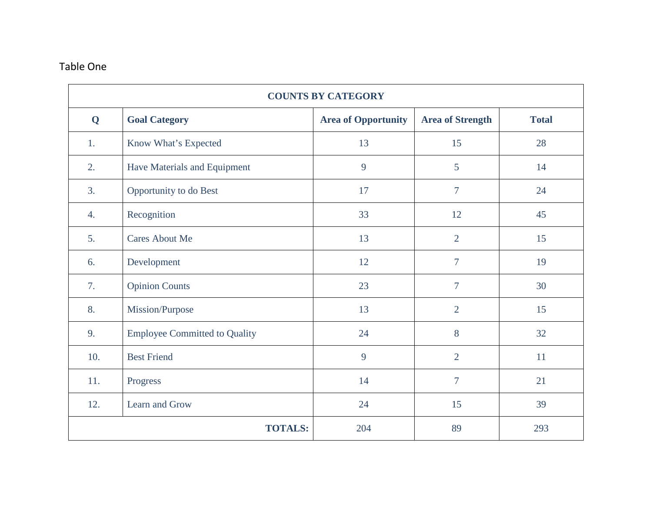## Table One

| <b>COUNTS BY CATEGORY</b> |                                      |                            |                         |              |  |
|---------------------------|--------------------------------------|----------------------------|-------------------------|--------------|--|
| Q                         | <b>Goal Category</b>                 | <b>Area of Opportunity</b> | <b>Area of Strength</b> | <b>Total</b> |  |
| 1.                        | Know What's Expected                 | 13                         | 15                      | 28           |  |
| 2.                        | Have Materials and Equipment         | 9                          | 5                       | 14           |  |
| 3.                        | Opportunity to do Best               | 17                         | $\overline{7}$          | 24           |  |
| 4.                        | Recognition                          | 33                         | 12                      | 45           |  |
| 5.                        | <b>Cares About Me</b>                | 13                         | $\overline{2}$          | 15           |  |
| 6.                        | Development                          | 12                         | $\overline{7}$          | 19           |  |
| 7.                        | <b>Opinion Counts</b>                | 23                         | $\overline{7}$          | 30           |  |
| 8.                        | Mission/Purpose                      | 13                         | $\overline{2}$          | 15           |  |
| 9.                        | <b>Employee Committed to Quality</b> | 24                         | 8                       | 32           |  |
| 10.                       | <b>Best Friend</b>                   | 9                          | $\overline{2}$          | 11           |  |
| 11.                       | Progress                             | 14                         | $\overline{7}$          | 21           |  |
| 12.                       | Learn and Grow                       | 24                         | 15                      | 39           |  |
| <b>TOTALS:</b>            |                                      | 204                        | 89                      | 293          |  |